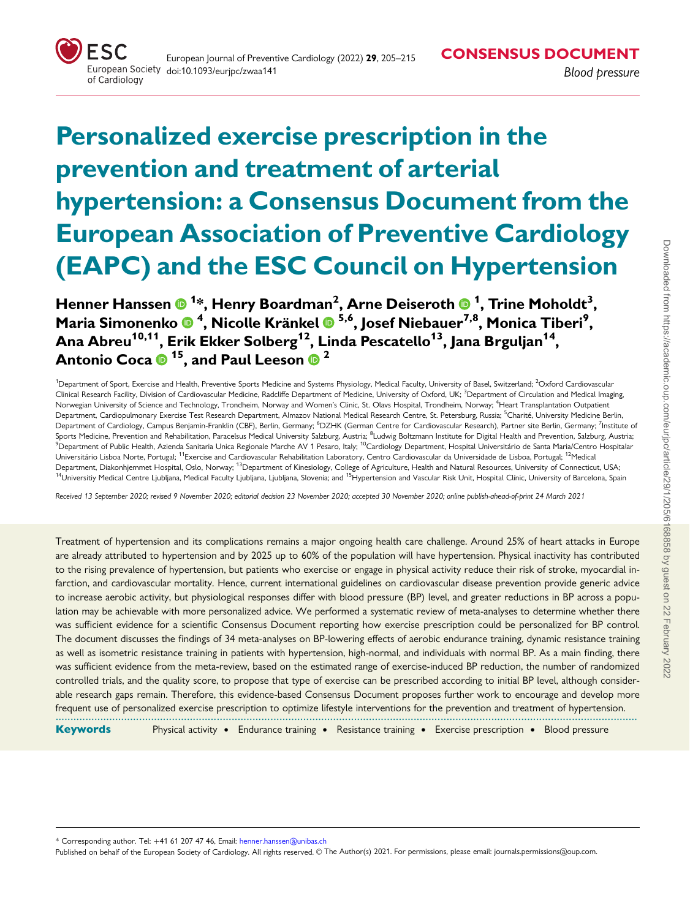European Society doi:10.1093/eurjpc/zwaa141 and the state of the state of the Blood pressure

# Personalized exercise prescription in the prevention and treatment of arterial hypertension: a Consensus Document from the European Association of Preventive Cardiology (EAPC) and the ESC Council on Hypertension

Henner Hanssen ® <sup>1</sup>\*, Henry Boardman<sup>2</sup>, Arne Deiseroth ® <sup>1</sup>, Trine Moholdt<sup>3</sup>, Maria Simonenko ® <sup>4</sup>, Nicolle Kränkel ® <sup>5,6</sup>, Josef Niebauer<sup>7,8</sup>, Monica Tiberi<sup>9</sup>, Ana Abreu<sup>10,11</sup>, Erik Ekker Solberg<sup>12</sup>, Linda Pescatello<sup>13</sup>, Jana Brguljan<sup>14</sup>, Antonio Coca  $\mathbf{D}^{15}$ , and Paul Leeson  $\mathbf{D}^{2}$ 

<sup>1</sup>Department of Sport, Exercise and Health, Preventive Sports Medicine and Systems Physiology, Medical Faculty, University of Basel, Switzerland; <sup>2</sup>Oxford Cardiovascular Clinical Research Facility, Division of Cardiovascular Medicine, Radcliffe Department of Medicine, University of Oxford, UK; <sup>3</sup>Department of Circulation and Medical Imaging Norwegian University of Science and Technology, Trondheim, Norway and Women's Clinic, St. Olavs Hospital, Trondheim, Norway; <sup>4</sup>Heart Transplantation Outpatient Department, Cardiopulmonary Exercise Test Research Department, Almazov National Medical Research Centre, St. Petersburg, Russia; <sup>5</sup>Charité, University Medicine Berlin. Department of Cardiology, Campus Benjamin-Franklin (CBF), Berlin, Germany; <sup>6</sup>DZHK (German Centre for Cardiovascular Research), Partner site Berlin, Germany; <sup>7</sup>Institute of Sports Medicine, Prevention and Rehabilitation, Paracelsus Medical University Salzburg, Austria; <sup>8</sup>Ludwig Boltzmann Institute for Digital Health and Prevention, Salzburg, Austria; <sup>9</sup>Department of Public Health, Azienda Sanitaria Unica Regionale Marche AV 1 Pesaro, Italy; <sup>10</sup>Cardiology Department, Hospital Universitário de Santa Maria/Centro Hospitalar Universitário Lisboa Norte, Portugal; <sup>11</sup>Exercise and Cardiovascular Rehabilitation Laboratory, Centro Cardiovascular da Universidade de Lisboa, Portugal; <sup>12</sup>Medical Department, Diakonhjemmet Hospital, Oslo, Norway; 13Department of Kinesiology, College of Agriculture, Health and Natural Resources, University of Connecticut, USA; <sup>14</sup>Universitiy Medical Centre Ljubljana, Medical Faculty Ljubljana, Ljubljana, Slovenia; and <sup>15</sup>Hypertension and Vascular Risk Unit, Hospital Clínic, University of Barcelona, Spain

Received 13 September 2020; revised 9 November 2020; editorial decision 23 November 2020; accepted 30 November 2020; online publish-ahead-of-print 24 March 2021

Treatment of hypertension and its complications remains a major ongoing health care challenge. Around 25% of heart attacks in Europe are already attributed to hypertension and by 2025 up to 60% of the population will have hypertension. Physical inactivity has contributed to the rising prevalence of hypertension, but patients who exercise or engage in physical activity reduce their risk of stroke, myocardial infarction, and cardiovascular mortality. Hence, current international guidelines on cardiovascular disease prevention provide generic advice to increase aerobic activity, but physiological responses differ with blood pressure (BP) level, and greater reductions in BP across a population may be achievable with more personalized advice. We performed a systematic review of meta-analyses to determine whether there was sufficient evidence for a scientific Consensus Document reporting how exercise prescription could be personalized for BP control. The document discusses the findings of 34 meta-analyses on BP-lowering effects of aerobic endurance training, dynamic resistance training as well as isometric resistance training in patients with hypertension, high-normal, and individuals with normal BP. As a main finding, there was sufficient evidence from the meta-review, based on the estimated range of exercise-induced BP reduction, the number of randomized controlled trials, and the quality score, to propose that type of exercise can be prescribed according to initial BP level, although considerable research gaps remain. Therefore, this evidence-based Consensus Document proposes further work to encourage and develop more frequent use of personalized exercise prescription to optimize lifestyle interventions for the prevention and treatment of hypertension. ...................................................................................................................................................................................................

Keywords Physical activity • Endurance training • Resistance training • Exercise prescription • Blood pressure

\* Corresponding author. Tel: +41 61 207 47 46, Email: henner.hanssen@unibas.ch

Published on behalf of the European Society of Cardiology. All rights reserved. © The Author(s) 2021. For permissions, please email: journals.permissions@oup.com.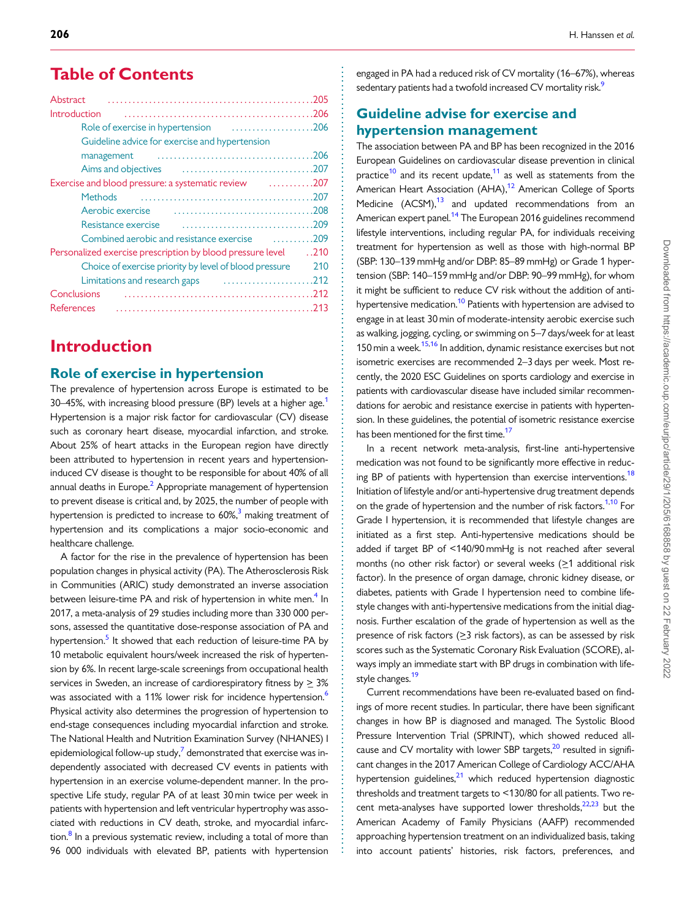# <span id="page-1-0"></span>. Table of Contents

| Abstract<br>Introduction<br>Role of exercise in hypertension                |      |
|-----------------------------------------------------------------------------|------|
| Guideline advice for exercise and hypertension                              |      |
| management                                                                  | .206 |
|                                                                             |      |
| Exercise and blood pressure: a systematic review [1, 1, 1, 1, 1, 1, 1, 207] |      |
| <b>Methods</b>                                                              |      |
| Aerobic exercise                                                            |      |
| Resistance exercise                                                         |      |
| Combined aerobic and resistance exercise [1, 209]                           |      |
| Personalized exercise prescription by blood pressure level                  | .210 |
| Choice of exercise priority by level of blood pressure                      | 210  |
| Limitations and research gaps                                               |      |
| Conclusions                                                                 |      |
| References                                                                  |      |

# Introduction

### Role of exercise in hypertension

The prevalence of hypertension across Europe is estimated to be 30–45%, with increasing blood pressure (BP) levels at a higher age.<sup>1</sup> Hypertension is a major risk factor for cardiovascular (CV) disease such as coronary heart disease, myocardial infarction, and stroke. About 25% of heart attacks in the European region have directly been attributed to hypertension in recent years and hypertensioninduced CV disease is thought to be responsible for about 40% of all annual deaths in Europe. $<sup>2</sup>$  Appropriate management of hypertension</sup> to prevent disease is critical and, by 2025, the number of people with hypertension is predicted to increase to  $60\%$ <sup>3</sup> making treatment of hypertension and its complications a major socio-economic and healthcare challenge.

A factor for the rise in the prevalence of hypertension has been population changes in physical activity (PA). The Atherosclerosis Risk in Communities (ARIC) study demonstrated an inverse association between leisure-time PA and risk of hypertension in white men.<sup>4</sup> In 2017, a meta-analysis of 29 studies including more than 330 000 persons, assessed the quantitative dose-response association of PA and hypertension.<sup>5</sup> It showed that each reduction of leisure-time PA by 10 metabolic equivalent hours/week increased the risk of hypertension by 6%. In recent large-scale screenings from occupational health services in Sweden, an increase of cardiorespiratory fitness by  $\geq 3\%$ was associated with a 11% lower risk for incidence hypertension.<sup>6</sup> Physical activity also determines the progression of hypertension to end-stage consequences including myocardial infarction and stroke. The National Health and Nutrition Examination Survey (NHANES) I epidemiological follow-up study, $7$  demonstrated that exercise was independently associated with decreased CV events in patients with hypertension in an exercise volume-dependent manner. In the prospective Life study, regular PA of at least 30 min twice per week in patients with hypertension and left ventricular hypertrophy was associated with reductions in CV death, stroke, and myocardial infarc-tion.<sup>[8](#page-8-0)</sup> In a previous systematic review, including a total of more than 96 000 individuals with elevated BP, patients with hypertension engaged in PA had a reduced risk of CV mortality (16–67%), whereas sedentary patients had a twofold increased CV mortality risk.<sup>[9](#page-8-0)</sup>

## Guideline advise for exercise and hypertension management

The association between PA and BP has been recognized in the 2016 European Guidelines on cardiovascular disease prevention in clinical practice<sup>[10](#page-8-0)</sup> and its recent update,<sup>11</sup> as well as statements from the American Heart Association (AHA),<sup>12</sup> American College of Sports Medicine  $(ACSM)$ ,<sup>[13](#page-8-0)</sup> and updated recommendations from an American expert panel.<sup>14</sup> The European 2016 guidelines recommend lifestyle interventions, including regular PA, for individuals receiving treatment for hypertension as well as those with high-normal BP (SBP: 130–139 mmHg and/or DBP: 85–89 mmHg) or Grade 1 hypertension (SBP: 140–159 mmHg and/or DBP: 90–99 mmHg), for whom it might be sufficient to reduce CV risk without the addition of antihypertensive medication.<sup>10</sup> Patients with hypertension are advised to engage in at least 30 min of moderate-intensity aerobic exercise such as walking, jogging, cycling, or swimming on 5–7 days/week for at least 150 min a week.<sup>[15,16](#page-8-0)</sup> In addition, dynamic resistance exercises but not isometric exercises are recommended 2–3 days per week. Most recently, the 2020 ESC Guidelines on sports cardiology and exercise in patients with cardiovascular disease have included similar recommendations for aerobic and resistance exercise in patients with hypertension. In these guidelines, the potential of isometric resistance exercise has been mentioned for the first time.<sup>[17](#page-8-0)</sup>

In a recent network meta-analysis, first-line anti-hypertensive medication was not found to be significantly more effective in reducing BP of patients with hypertension than exercise interventions.<sup>18</sup> Initiation of lifestyle and/or anti-hypertensive drug treatment depends on the grade of hypertension and the number of risk factors.<sup>1,[10](#page-8-0)</sup> For Grade I hypertension, it is recommended that lifestyle changes are initiated as a first step. Anti-hypertensive medications should be added if target BP of <140/90 mmHg is not reached after several months (no other risk factor) or several weeks (>1 additional risk factor). In the presence of organ damage, chronic kidney disease, or diabetes, patients with Grade I hypertension need to combine lifestyle changes with anti-hypertensive medications from the initial diagnosis. Further escalation of the grade of hypertension as well as the presence of risk factors ( $\geq$ 3 risk factors), as can be assessed by risk scores such as the Systematic Coronary Risk Evaluation (SCORE), always imply an immediate start with BP drugs in combination with life-style changes.<sup>[19](#page-8-0)</sup>

Current recommendations have been re-evaluated based on findings of more recent studies. In particular, there have been significant changes in how BP is diagnosed and managed. The Systolic Blood Pressure Intervention Trial (SPRINT), which showed reduced allcause and CV mortality with lower SBP targets, $^{20}$  resulted in significant changes in the 2017 American College of Cardiology ACC/AHA hypertension guidelines, $21$  which reduced hypertension diagnostic thresholds and treatment targets to <130/80 for all patients. Two recent meta-analyses have supported lower thresholds, $^{22,23}$  $^{22,23}$  $^{22,23}$  but the American Academy of Family Physicians (AAFP) recommended approaching hypertension treatment on an individualized basis, taking into account patients' histories, risk factors, preferences, and

. . . . . . . . . . . . . . . . . . . . . . . . . . . . . . . . . . . . . . . . . . . . . . . . . . . . . . . . . . . . . . . . . . . . . . . . . . . . . . . . . . . . . . . . . . . . . . . . . . . . . . . . . . . . . . . . . . . . . . . . . . . . . . . . . . . . . . . . . . . . . . . . . . . . . . . . . . . . . . . . . . . . . . . . . . . .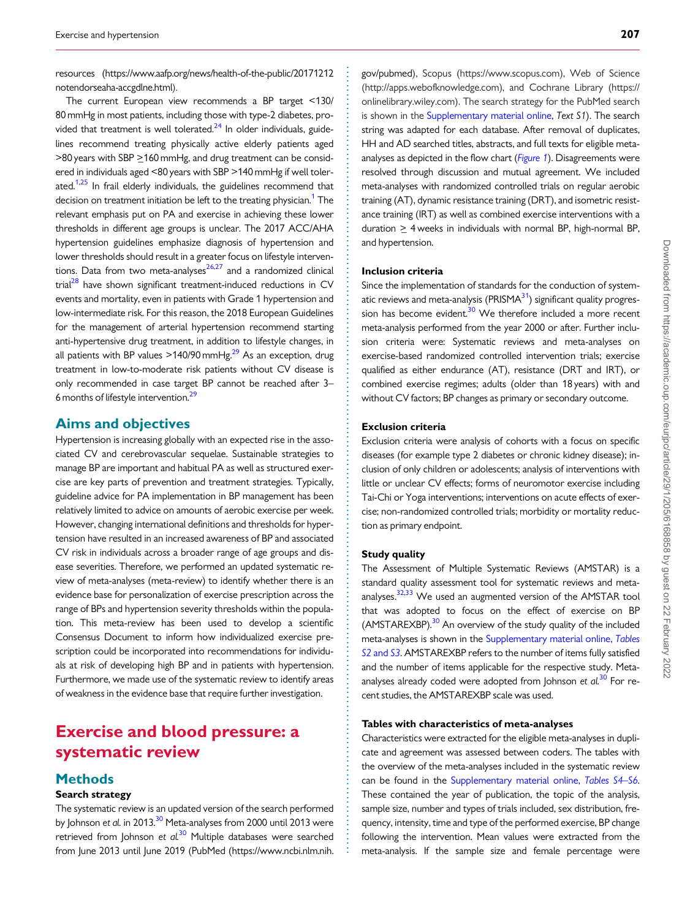<span id="page-2-0"></span>. resources ([https://www.aafp.org/news/health-of-the-public/20171212](https://www.aafp.org/news/health-of-the-public/20171212notendorseaha-accgdlne.html) [notendorseaha-accgdlne.html\)](https://www.aafp.org/news/health-of-the-public/20171212notendorseaha-accgdlne.html).

The current European view recommends a BP target <130/ 80 mmHg in most patients, including those with type-2 diabetes, provided that treatment is well tolerated. $^{24}$  $^{24}$  $^{24}$  In older individuals, guidelines recommend treating physically active elderly patients aged >80 years with SBP > 160 mmHg, and drug treatment can be considered in individuals aged <80 years with SBP >140 mmHg if well toler-ated.<sup>[1,25](#page-8-0)</sup> In frail elderly individuals, the guidelines recommend that decision on treatment initiation be left to the treating physician.<sup>[1](#page-8-0)</sup> The relevant emphasis put on PA and exercise in achieving these lower thresholds in different age groups is unclear. The 2017 ACC/AHA hypertension guidelines emphasize diagnosis of hypertension and lower thresholds should result in a greater focus on lifestyle interventions. Data from two meta-analyses $26,27$  and a randomized clinical trial $^{28}$  have shown significant treatment-induced reductions in CV events and mortality, even in patients with Grade 1 hypertension and low-intermediate risk. For this reason, the 2018 European Guidelines for the management of arterial hypertension recommend starting anti-hypertensive drug treatment, in addition to lifestyle changes, in all patients with BP values  $>$ 140/90 mmHg.<sup>29</sup> As an exception, drug treatment in low-to-moderate risk patients without CV disease is only recommended in case target BP cannot be reached after 3– 6 months of lifestyle intervention.<sup>29</sup>

## Aims and objectives

Hypertension is increasing globally with an expected rise in the associated CV and cerebrovascular sequelae. Sustainable strategies to manage BP are important and habitual PA as well as structured exercise are key parts of prevention and treatment strategies. Typically, guideline advice for PA implementation in BP management has been relatively limited to advice on amounts of aerobic exercise per week. However, changing international definitions and thresholds for hypertension have resulted in an increased awareness of BP and associated CV risk in individuals across a broader range of age groups and disease severities. Therefore, we performed an updated systematic review of meta-analyses (meta-review) to identify whether there is an evidence base for personalization of exercise prescription across the range of BPs and hypertension severity thresholds within the population. This meta-review has been used to develop a scientific Consensus Document to inform how individualized exercise prescription could be incorporated into recommendations for individuals at risk of developing high BP and in patients with hypertension. Furthermore, we made use of the systematic review to identify areas of weakness in the evidence base that require further investigation.

# Exercise and blood pressure: a systematic review

#### **Methods**

#### Search strategy

The systematic review is an updated version of the search performed by Johnson et al. in 2013.<sup>30</sup> Meta-analyses from 2000 until 2013 were retrieved from Johnson et  $al^{30}$  $al^{30}$  $al^{30}$  Multiple databases were searched from June 2013 until June 2019 (PubMed [\(https://www.ncbi.nlm.nih.](https://www.ncbi.nlm.nih.gov/pubmed) [gov/pubmed\)](https://www.ncbi.nlm.nih.gov/pubmed), Scopus [\(https://www.scopus.com](https://www.scopus.com)), Web of Science [\(http://apps.webofknowledge.com](http://apps.webofknowledge.com)), and Cochrane Library [\(https://](https://onlinelibrary.wiley.com) [onlinelibrary.wiley.com\)](https://onlinelibrary.wiley.com). The search strategy for the PubMed search is shown in the [Supplementary material online](https://academic.oup.com/eurjpc/article-lookup/doi/10.1093/eurjpc/zwaa141#supplementary-data), Text S1). The search string was adapted for each database. After removal of duplicates, HH and AD searched titles, abstracts, and full texts for eligible meta-analyses as depicted in the flow chart ([Figure 1](#page-3-0)). Disagreements were resolved through discussion and mutual agreement. We included meta-analyses with randomized controlled trials on regular aerobic training (AT), dynamic resistance training (DRT), and isometric resistance training (IRT) as well as combined exercise interventions with a duration  $\geq$  4 weeks in individuals with normal BP, high-normal BP, and hypertension.

#### Inclusion criteria

Since the implementation of standards for the conduction of systematic reviews and meta-analysis ( $PRISMA<sup>31</sup>$ ) significant quality progression has become evident. $30$  We therefore included a more recent meta-analysis performed from the year 2000 or after. Further inclusion criteria were: Systematic reviews and meta-analyses on exercise-based randomized controlled intervention trials; exercise qualified as either endurance (AT), resistance (DRT and IRT), or combined exercise regimes; adults (older than 18 years) with and without CV factors; BP changes as primary or secondary outcome.

#### Exclusion criteria

Exclusion criteria were analysis of cohorts with a focus on specific diseases (for example type 2 diabetes or chronic kidney disease); inclusion of only children or adolescents; analysis of interventions with little or unclear CV effects; forms of neuromotor exercise including Tai-Chi or Yoga interventions; interventions on acute effects of exercise; non-randomized controlled trials; morbidity or mortality reduction as primary endpoint.

#### Study quality

. . . . . . . . . . . . . . . . . . . . . . . . . . . . . . . . . . . . . . . . . . . . . . . . . . . . . . . . . . . . . . . . . . . . . . . . . . . . . . . . . . . . . . . . . . . . . . . . . . . . . . . . . . . . . . . . . . . . . . . . . . . . . . . . . . . . . . . . . . . . . . . . . . . . . . . . . . . . . . . . . . . . . . . . . . . .

The Assessment of Multiple Systematic Reviews (AMSTAR) is a standard quality assessment tool for systematic reviews and metaanalyses.<sup>32,33</sup> We used an augmented version of the AMSTAR tool that was adopted to focus on the effect of exercise on BP  $(AMSTAREXBP).<sup>30</sup>$  An overview of the study quality of the included meta-analyses is shown in the [Supplementary material online,](https://academic.oup.com/eurjpc/article-lookup/doi/10.1093/eurjpc/zwaa141#supplementary-data) Tables S2 [and](https://academic.oup.com/eurjpc/article-lookup/doi/10.1093/eurjpc/zwaa141#supplementary-data) S3. AMSTAREXBP refers to the number of items fully satisfied and the number of items applicable for the respective study. Metaanalyses already coded were adopted from Johnson et  $al<sup>30</sup>$  $al<sup>30</sup>$  $al<sup>30</sup>$  For recent studies, the AMSTAREXBP scale was used.

#### Tables with characteristics of meta-analyses

Characteristics were extracted for the eligible meta-analyses in duplicate and agreement was assessed between coders. The tables with the overview of the meta-analyses included in the systematic review can be found in the [Supplementary material online,](https://academic.oup.com/eurjpc/article-lookup/doi/10.1093/eurjpc/zwaa141#supplementary-data) Tables S4–S6. These contained the year of publication, the topic of the analysis, sample size, number and types of trials included, sex distribution, frequency, intensity, time and type of the performed exercise, BP change following the intervention. Mean values were extracted from the meta-analysis. If the sample size and female percentage were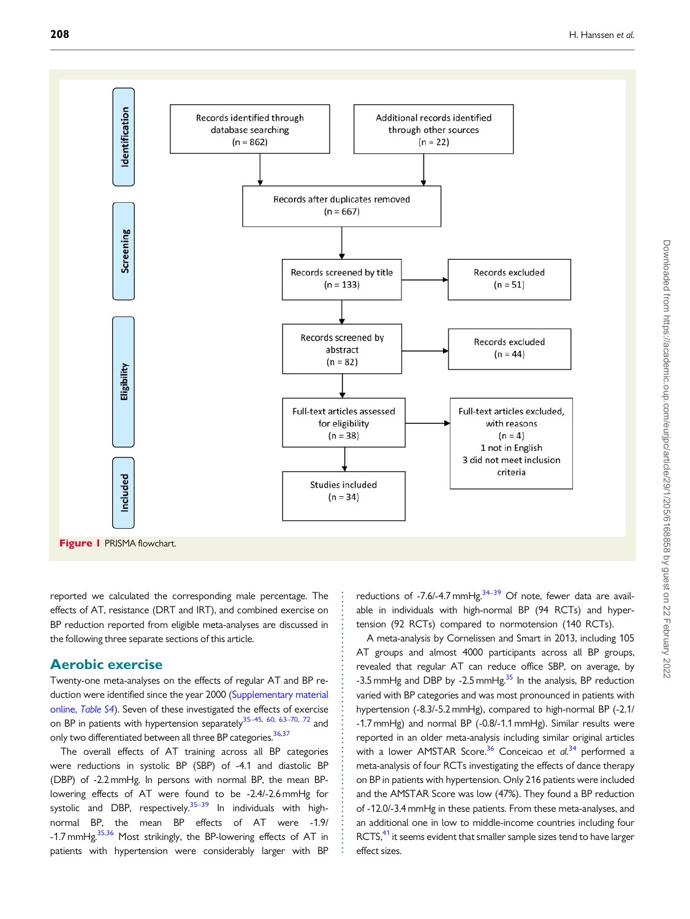<span id="page-3-0"></span>

. . . . . . . . . . . . . . . . . . . . . . . . . . . . . . . . . . . . . . . . . . . . . . . . . . . . . . . . .

. reported we calculated the corresponding male percentage. The effects of AT, resistance (DRT and IRT), and combined exercise on BP reduction reported from eligible meta-analyses are discussed in the following three separate sections of this article.

#### Aerobic exercise

Twenty-one meta-analyses on the effects of regular AT and BP reduction were identified since the year 2000 [\(Supplementary material](https://academic.oup.com/eurjpc/article-lookup/doi/10.1093/eurjpc/zwaa141#supplementary-data) online, [Table S4](https://academic.oup.com/eurjpc/article-lookup/doi/10.1093/eurjpc/zwaa141#supplementary-data)). Seven of these investigated the effects of exercise on BP in patients with hypertension separately<sup>[35](#page-9-0)–[45](#page-9-0), [60,](#page-9-0) [63](#page-9-0)–[70](#page-10-0), 72</sup> and only two differentiated between all three BP categories.<sup>[36](#page-9-0),[37](#page-9-0)</sup>

The overall effects of AT training across all BP categories were reductions in systolic BP (SBP) of -4.1 and diastolic BP (DBP) of -2.2 mmHg. In persons with normal BP, the mean BPlowering effects of AT were found to be -2.4/-2.6 mmHg for systolic and DBP, respectively. $35-39$  $35-39$  $35-39$  In individuals with highnormal BP, the mean BP effects of AT were -1.9/ -1.7 mmHg.<sup>[35](#page-9-0),[36](#page-9-0)</sup> Most strikingly, the BP-lowering effects of AT in patients with hypertension were considerably larger with BP reductions of -7.6/-4.7 mmHg. $34-39$  Of note, fewer data are available in individuals with high-normal BP (94 RCTs) and hypertension (92 RCTs) compared to normotension (140 RCTs).

A meta-analysis by Cornelissen and Smart in 2013, including 105 AT groups and almost 4000 participants across all BP groups, revealed that regular AT can reduce office SBP, on average, by -3.5 mmHg and DBP by -2.5 mmHg. $35$  In the analysis, BP reduction varied with BP categories and was most pronounced in patients with hypertension (-8.3/-5.2 mmHg), compared to high-normal BP (-2.1/ -1.7 mmHg) and normal BP (-0.8/-1.1 mmHg). Similar results were reported in an older meta-analysis including similar original articles with a lower AMSTAR Score.<sup>36</sup> Conceicao et  $al^{34}$  $al^{34}$  $al^{34}$  performed a meta-analysis of four RCTs investigating the effects of dance therapy on BP in patients with hypertension. Only 216 patients were included and the AMSTAR Score was low (47%). They found a BP reduction of -12.0/-3.4 mmHg in these patients. From these meta-analyses, and an additional one in low to middle-income countries including four RCTS,<sup>41</sup> it seems evident that smaller sample sizes tend to have larger effect sizes.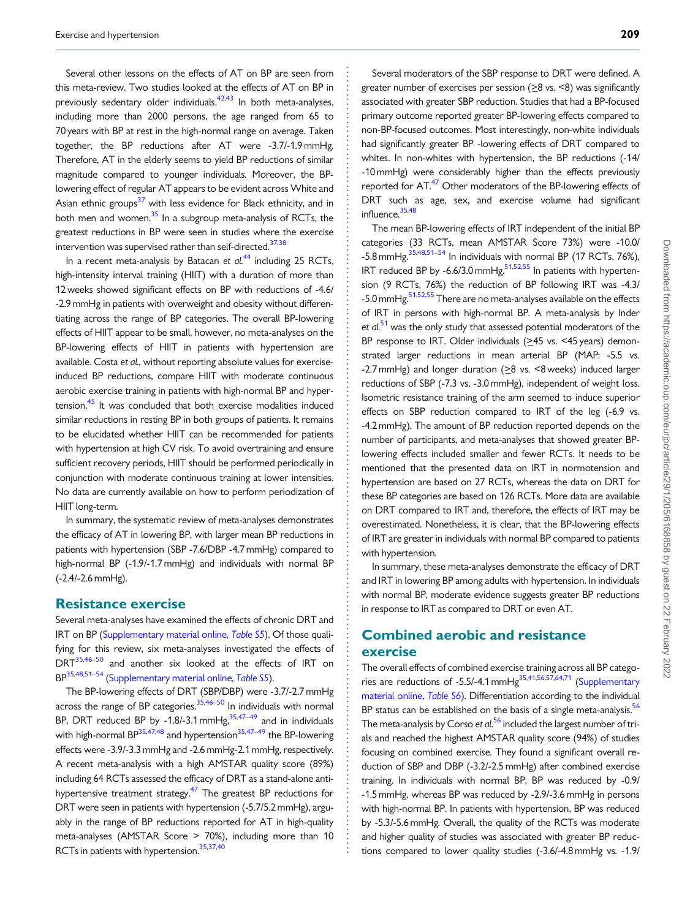<span id="page-4-0"></span>. Several other lessons on the effects of AT on BP are seen from this meta-review. Two studies looked at the effects of AT on BP in previously sedentary older individuals.<sup>42,43</sup> In both meta-analyses, including more than 2000 persons, the age ranged from 65 to 70 years with BP at rest in the high-normal range on average. Taken together, the BP reductions after AT were -3.7/-1.9 mmHg. Therefore, AT in the elderly seems to yield BP reductions of similar magnitude compared to younger individuals. Moreover, the BPlowering effect of regular AT appears to be evident across White and Asian ethnic groups $37$  with less evidence for Black ethnicity, and in both men and women.<sup>35</sup> In a subgroup meta-analysis of RCTs, the greatest reductions in BP were seen in studies where the exercise intervention was supervised rather than self-directed. $37,38$  $37,38$  $37,38$ 

In a recent meta-analysis by Batacan et  $al^{44}$  $al^{44}$  $al^{44}$  including 25 RCTs, high-intensity interval training (HIIT) with a duration of more than 12 weeks showed significant effects on BP with reductions of -4.6/ -2.9 mmHg in patients with overweight and obesity without differentiating across the range of BP categories. The overall BP-lowering effects of HIIT appear to be small, however, no meta-analyses on the BP-lowering effects of HIIT in patients with hypertension are available. Costa et al., without reporting absolute values for exerciseinduced BP reductions, compare HIIT with moderate continuous aerobic exercise training in patients with high-normal BP and hypertension.<sup>45</sup> It was concluded that both exercise modalities induced similar reductions in resting BP in both groups of patients. It remains to be elucidated whether HIIT can be recommended for patients with hypertension at high CV risk. To avoid overtraining and ensure sufficient recovery periods, HIIT should be performed periodically in conjunction with moderate continuous training at lower intensities. No data are currently available on how to perform periodization of HIIT long-term.

In summary, the systematic review of meta-analyses demonstrates the efficacy of AT in lowering BP, with larger mean BP reductions in patients with hypertension (SBP -7.6/DBP -4.7 mmHg) compared to high-normal BP (-1.9/-1.7 mmHg) and individuals with normal BP (-2.4/-2.6 mmHg).

#### Resistance exercise

Several meta-analyses have examined the effects of chronic DRT and IRT on BP ([Supplementary material online,](https://academic.oup.com/eurjpc/article-lookup/doi/10.1093/eurjpc/zwaa141#supplementary-data) Table S5). Of those qualifying for this review, six meta-analyses investigated the effects of DR[T35,46](#page-9-0)–[50](#page-9-0) and another six looked at the effects of IRT on BP<sup>35,48,51-[54](#page-9-0)</sup> [\(Supplementary material online,](https://academic.oup.com/eurjpc/article-lookup/doi/10.1093/eurjpc/zwaa141#supplementary-data) Table S5).

The BP-lowering effects of DRT (SBP/DBP) were -3.7/-2.7 mmHg across the range of BP categories. $35,46-50$  In individuals with normal BP, DRT reduced BP by -1.8/-3.1 mmHg, $35,47-49$  and in individuals with high-normal BP $35,47,48$  and hypertension<sup>35,47–[49](#page-9-0)</sup> the BP-lowering effects were -3.9/-3.3 mmHg and -2.6 mmHg-2.1 mmHg, respectively. A recent meta-analysis with a high AMSTAR quality score (89%) including 64 RCTs assessed the efficacy of DRT as a stand-alone antihypertensive treatment strategy.<sup>47</sup> The greatest BP reductions for DRT were seen in patients with hypertension (-5.7/5.2 mmHg), arguably in the range of BP reductions reported for AT in high-quality meta-analyses (AMSTAR Score > 70%), including more than 10 RCTs in patients with hypertension.<sup>35,37,[40](#page-9-0)</sup>

Several moderators of the SBP response to DRT were defined. A greater number of exercises per session ( $\geq$ 8 vs. <8) was significantly associated with greater SBP reduction. Studies that had a BP-focused primary outcome reported greater BP-lowering effects compared to non-BP-focused outcomes. Most interestingly, non-white individuals had significantly greater BP -lowering effects of DRT compared to whites. In non-whites with hypertension, the BP reductions (-14/ -10 mmHg) were considerably higher than the effects previously reported for AT.<sup>47</sup> Other moderators of the BP-lowering effects of DRT such as age, sex, and exercise volume had significant influence.<sup>35,48</sup>

The mean BP-lowering effects of IRT independent of the initial BP categories (33 RCTs, mean AMSTAR Score 73%) were -10.0/ -5.8 mmHg.<sup>[35,48,51–54](#page-9-0)</sup> In individuals with normal BP (17 RCTs, 76%), IRT reduced BP by -6.6/3.0 mmHg.[51,52,55](#page-9-0) In patients with hypertension (9 RCTs, 76%) the reduction of BP following IRT was -4.3/ -5.0 mmHg.<sup>[51,52,55](#page-9-0)</sup> There are no meta-analyses available on the effects of IRT in persons with high-normal BP. A meta-analysis by Inder et  $al<sup>51</sup>$  $al<sup>51</sup>$  $al<sup>51</sup>$  was the only study that assessed potential moderators of the BP response to IRT. Older individuals ( $\geq$ 45 vs. <45 years) demonstrated larger reductions in mean arterial BP (MAP: -5.5 vs. -2.7 mmHg) and longer duration ( $\geq$ 8 vs. <8 weeks) induced larger reductions of SBP (-7.3 vs. -3.0 mmHg), independent of weight loss. Isometric resistance training of the arm seemed to induce superior effects on SBP reduction compared to IRT of the leg (-6.9 vs. -4.2 mmHg). The amount of BP reduction reported depends on the number of participants, and meta-analyses that showed greater BPlowering effects included smaller and fewer RCTs. It needs to be mentioned that the presented data on IRT in normotension and hypertension are based on 27 RCTs, whereas the data on DRT for these BP categories are based on 126 RCTs. More data are available on DRT compared to IRT and, therefore, the effects of IRT may be overestimated. Nonetheless, it is clear, that the BP-lowering effects of IRT are greater in individuals with normal BP compared to patients with hypertension.

In summary, these meta-analyses demonstrate the efficacy of DRT and IRT in lowering BP among adults with hypertension. In individuals with normal BP, moderate evidence suggests greater BP reductions in response to IRT as compared to DRT or even AT.

## Combined aerobic and resistance exercise

. . . . . . . . . . . . . . . . . . . . . . . . . . . . . . . . . . . . . . . . . . . . . . . . . . . . . . . . . . . . . . . . . . . . . . . . . . . . . . . . . . . . . . . . . . . . . . . . . . . . . . . . . . . . . . . . . . . . . . . . . . . . . . . . . . . . . . . . . . . . . . . . . . . . . . . . . . . . . . . . . . . . . . . . . . . .

The overall effects of combined exercise training across all BP catego-ries are reductions of -5.5/-4.1 mmHg<sup>35,41,[56,57,64,](#page-9-0)[71](#page-10-0)</sup> ([Supplementary](https://academic.oup.com/eurjpc/article-lookup/doi/10.1093/eurjpc/zwaa141#supplementary-data) [material online,](https://academic.oup.com/eurjpc/article-lookup/doi/10.1093/eurjpc/zwaa141#supplementary-data) Table S6). Differentiation according to the individual BP status can be established on the basis of a single meta-analysis. $56$ The meta-analysis by Corso et  $al<sup>56</sup>$  $al<sup>56</sup>$  $al<sup>56</sup>$  included the largest number of trials and reached the highest AMSTAR quality score (94%) of studies focusing on combined exercise. They found a significant overall reduction of SBP and DBP (-3.2/-2.5 mmHg) after combined exercise training. In individuals with normal BP, BP was reduced by -0.9/ -1.5 mmHg, whereas BP was reduced by -2.9/-3.6 mmHg in persons with high-normal BP. In patients with hypertension, BP was reduced by -5.3/-5.6 mmHg. Overall, the quality of the RCTs was moderate and higher quality of studies was associated with greater BP reductions compared to lower quality studies (-3.6/-4.8 mmHg vs. -1.9/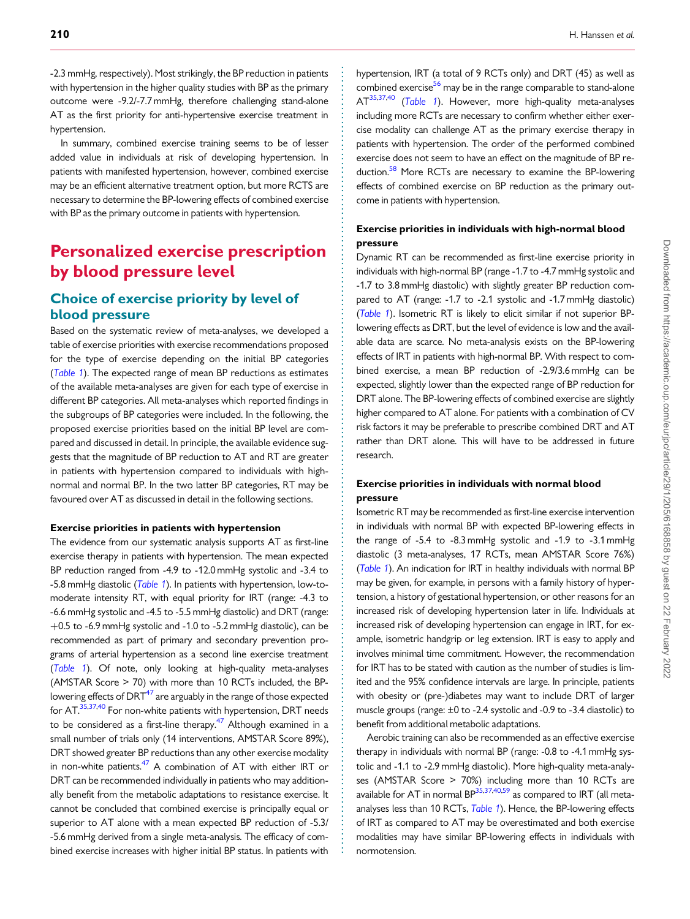<span id="page-5-0"></span>. -2.3 mmHg, respectively). Most strikingly, the BP reduction in patients with hypertension in the higher quality studies with BP as the primary outcome were -9.2/-7.7 mmHg, therefore challenging stand-alone AT as the first priority for anti-hypertensive exercise treatment in hypertension.

In summary, combined exercise training seems to be of lesser added value in individuals at risk of developing hypertension. In patients with manifested hypertension, however, combined exercise may be an efficient alternative treatment option, but more RCTS are necessary to determine the BP-lowering effects of combined exercise with BP as the primary outcome in patients with hypertension.

# Personalized exercise prescription by blood pressure level

## Choice of exercise priority by level of blood pressure

Based on the systematic review of meta-analyses, we developed a table of exercise priorities with exercise recommendations proposed for the type of exercise depending on the initial BP categories ([Table 1](#page-6-0)). The expected range of mean BP reductions as estimates of the available meta-analyses are given for each type of exercise in different BP categories. All meta-analyses which reported findings in the subgroups of BP categories were included. In the following, the proposed exercise priorities based on the initial BP level are compared and discussed in detail. In principle, the available evidence suggests that the magnitude of BP reduction to AT and RT are greater in patients with hypertension compared to individuals with highnormal and normal BP. In the two latter BP categories, RT may be favoured over AT as discussed in detail in the following sections.

#### Exercise priorities in patients with hypertension

The evidence from our systematic analysis supports AT as first-line exercise therapy in patients with hypertension. The mean expected BP reduction ranged from -4.9 to -12.0 mmHg systolic and -3.4 to -5.8 mmHg diastolic ([Table 1](#page-6-0)). In patients with hypertension, low-tomoderate intensity RT, with equal priority for IRT (range: -4.3 to -6.6 mmHg systolic and -4.5 to -5.5 mmHg diastolic) and DRT (range: +0.5 to -6.9 mmHg systolic and -1.0 to -5.2 mmHg diastolic), can be recommended as part of primary and secondary prevention programs of arterial hypertension as a second line exercise treatment ([Table 1](#page-6-0)). Of note, only looking at high-quality meta-analyses (AMSTAR Score > 70) with more than 10 RCTs included, the BPlowering effects of DRT<sup>47</sup> are arguably in the range of those expected for AT.<sup>[35](#page-9-0),[37,40](#page-9-0)</sup> For non-white patients with hypertension, DRT needs to be considered as a first-line therapy. $47$  Although examined in a small number of trials only (14 interventions, AMSTAR Score 89%), DRT showed greater BP reductions than any other exercise modality in non-white patients. $47$  A combination of AT with either IRT or DRT can be recommended individually in patients who may additionally benefit from the metabolic adaptations to resistance exercise. It cannot be concluded that combined exercise is principally equal or superior to AT alone with a mean expected BP reduction of -5.3/ -5.6 mmHg derived from a single meta-analysis. The efficacy of combined exercise increases with higher initial BP status. In patients with

hypertension, IRT (a total of 9 RCTs only) and DRT (45) as well as combined exercise $56$  may be in the range comparable to stand-alone AT<sup>[35](#page-9-0),[37,40](#page-9-0)</sup> ([Table 1](#page-6-0)). However, more high-quality meta-analyses including more RCTs are necessary to confirm whether either exercise modality can challenge AT as the primary exercise therapy in patients with hypertension. The order of the performed combined exercise does not seem to have an effect on the magnitude of BP reduction.<sup>58</sup> More RCTs are necessary to examine the BP-lowering effects of combined exercise on BP reduction as the primary outcome in patients with hypertension.

#### Exercise priorities in individuals with high-normal blood pressure

Dynamic RT can be recommended as first-line exercise priority in individuals with high-normal BP (range -1.7 to -4.7 mmHg systolic and -1.7 to 3.8 mmHg diastolic) with slightly greater BP reduction compared to AT (range: -1.7 to -2.1 systolic and -1.7 mmHg diastolic) ([Table 1](#page-6-0)). Isometric RT is likely to elicit similar if not superior BPlowering effects as DRT, but the level of evidence is low and the available data are scarce. No meta-analysis exists on the BP-lowering effects of IRT in patients with high-normal BP. With respect to combined exercise, a mean BP reduction of -2.9/3.6 mmHg can be expected, slightly lower than the expected range of BP reduction for DRT alone. The BP-lowering effects of combined exercise are slightly higher compared to AT alone. For patients with a combination of CV risk factors it may be preferable to prescribe combined DRT and AT rather than DRT alone. This will have to be addressed in future research.

#### Exercise priorities in individuals with normal blood pressure

Isometric RT may be recommended as first-line exercise intervention in individuals with normal BP with expected BP-lowering effects in the range of -5.4 to -8.3 mmHg systolic and -1.9 to -3.1 mmHg diastolic (3 meta-analyses, 17 RCTs, mean AMSTAR Score 76%) ([Table 1](#page-6-0)). An indication for IRT in healthy individuals with normal BP may be given, for example, in persons with a family history of hypertension, a history of gestational hypertension, or other reasons for an increased risk of developing hypertension later in life. Individuals at increased risk of developing hypertension can engage in IRT, for example, isometric handgrip or leg extension. IRT is easy to apply and involves minimal time commitment. However, the recommendation for IRT has to be stated with caution as the number of studies is limited and the 95% confidence intervals are large. In principle, patients with obesity or (pre-)diabetes may want to include DRT of larger muscle groups (range: ±0 to -2.4 systolic and -0.9 to -3.4 diastolic) to benefit from additional metabolic adaptations.

Aerobic training can also be recommended as an effective exercise therapy in individuals with normal BP (range: -0.8 to -4.1 mmHg systolic and -1.1 to -2.9 mmHg diastolic). More high-quality meta-analyses (AMSTAR Score > 70%) including more than 10 RCTs are available for AT in normal  $BP^{35,37,40,59}$  as compared to IRT (all meta-analyses less than 10 RCTs, [Table 1](#page-6-0)). Hence, the BP-lowering effects of IRT as compared to AT may be overestimated and both exercise modalities may have similar BP-lowering effects in individuals with normotension.

. . . . . . . . . . . . . . . . . . . . . . . . . . . . . . . . . . . . . . . . . . . . . . . . . . . . . . . . . . . . . . . . . . . . . . . . . . . . . . . . . . . . . . . . . . . . . . . . . . . . . . . . . . . . . . . . . . . . . . . . . . . . . . . . . . . . . . . . . . . . . . . . . . . . . . . . . . . . . . . . . . . . . . . . . . . .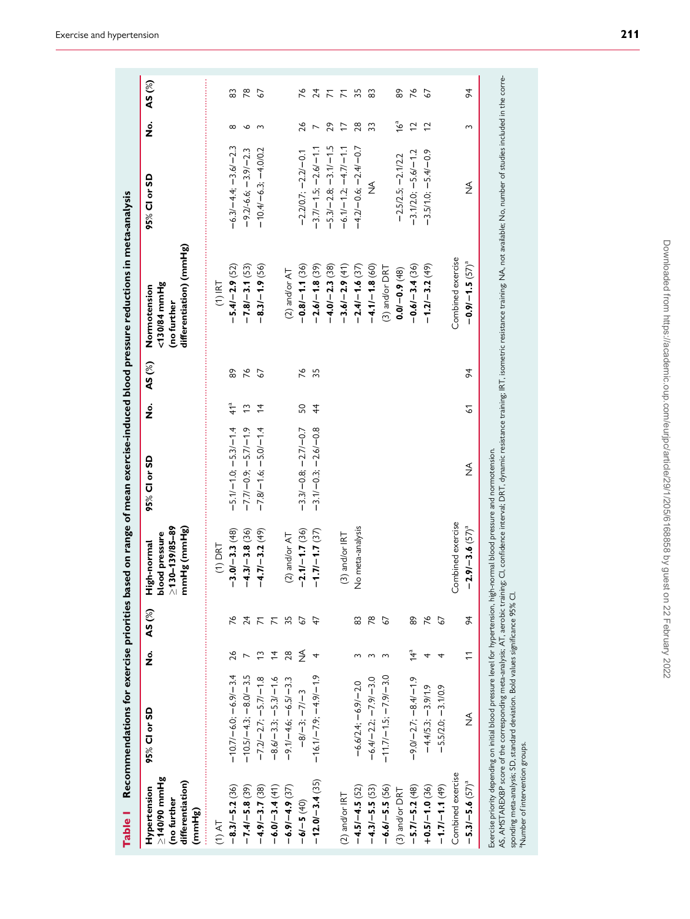<span id="page-6-0"></span>

| 16 <sup>a</sup><br>$\frac{26}{5}$<br>29<br>28<br>33<br>$\overline{1}$<br>$\tilde{c}$<br>$\overline{c}$<br>$\infty$<br>$\circ$<br>$\overline{ }$<br>$\sim$<br>$-4.2/-0.6$ ; $-2.4/-0.7$<br>$-5.3/-2.8$ ; $-3.1/-1.5$<br>$-6.3/ -4.4; -3.6/ -2.3$<br>$-3.7/-1.5$ ; $-2.6/-1.1$<br>$-6.1/-1.2$ ; $-4.7/-1.1$<br>$-10.4/-6.3$ ; $-4.0/0.2$<br>$-9.2/-6.6$ ; $-3.9/-2.3$<br>$-2.2/0.7$ ; $-2.2/-0.1$<br>$-3.5/1.0; -5.4/ -0.9$<br>$-3.1/2.0$ ; $-5.6/ -1.2$<br>$-2.5/2.5; -2.1/2.2$<br>$\frac{1}{2}$<br>Combined exercise<br>$-8.3/ - 1.9(56)$<br>$-3.6/-2.9(41)$<br>$-1.2I - 3.2(49)$<br>$-5.4/-2.9(52)$<br>$-7.8/-3.1(53)$<br>$-0.8l - 1.1(36)$<br>$-4.0/-2.3(38)$<br>$-2.4/-1.6(37)$<br>$-0.6/-3.4(36)$<br>$-2.6/-1.8(39)$<br>$-4.1/-1.8$ (60)<br>(3) and/or DRT<br>$0.0/-0.9$ (48)<br>$(2)$ and/or $AT$<br>$(1)$ IRT<br>89<br>$\frac{6}{2}$<br>76<br>67<br>35<br>41a<br>SO<br>$\overline{4}$<br>$\overline{4}$<br>$\tilde{1}$<br>$-5.1/-1.0$ ; $-5.3/-1.4$<br>$-3.3/-0.8$ ; $-2.7/-0.7$<br>$-3.1/-0.3$ ; $-2.6/-0.8$<br>$-7.7/ -0.9$ ; $-5.7/ -1.9$<br>$-7.8/-1.6$ ; $-5.0/-1.4$<br>Combined exercise<br>No meta-analysis<br>$-3.0/-3.3(48)$<br>$-4.71 - 3.2(49)$<br>$-1.7I - 1.7(37)$<br>$-4.3/ -3.8(36)$<br>$-2.1/-1.7(36)$<br>$(3)$ and/or $IRT$<br>$(2)$ and/or AT<br>$(1)$ DRT<br>76<br>78<br>89<br>76<br>24<br>35<br>67<br>83<br>57<br>67<br>$\overline{K}$<br>$\overline{K}$<br>47<br>≸<br>$14^a$<br>$\dot{4}$<br>28<br>$\mathsf{c}$<br>$\sim$<br>4<br>S<br>$-11.7/ - 1.5$ ; $-7.9/ - 3.0$<br>$-10.7/-6.0; -6.9/-3.4$<br>$-10.5/-4.3$ ; $-8.0/-3.5$<br>$-16.1/-7.9$ ; $-4.9/-1.9$<br>$-9.0/-2.7$ ; $-8.4/-1.9$<br>$-8.6/-3.3$ ; $-5.3/-1.6$<br>$-6.4/-2.2$ ; $-7.9/-3.0$<br>$-7.2/-2.7$ ; $-5.7/-1.8$<br>$-9.1/ - 4.6$ ; $-6.5/ - 3.3$<br>$-6.6/2.4; -6.9/ -2.0$<br>$-5.5/2.0; -3.1/0.9$<br>$-4.4/5.3$ ; $-3.9/1.9$<br>$-8/-3$ ; $-7/-3$<br>Combined exercise<br>$-12.0/-3.4(35)$<br>$-8.3/-5.2(36)$<br>$-6.0/-3.4(41)$<br>$-6.6/-5.5(56)$<br>$-1.7l - 1.1(49)$<br>$-6.9$ / $-4.9$ (37)<br>$-4.5/ -4.5(52)$<br>$-5.7I - 5.2(48)$<br>$+0.5/-1.0(36)$<br>$-7.4/-5.8(39)$<br>$-4.9/ -3.7(38)$<br>$-4.3/ -5.5(53)$<br>(3) and/or DRT<br>$(2)$ and/or IRT<br>$-6/-5(40)$<br>$(1)$ AT | $\geq$ 140/90 mmHg<br>differentiation)<br>Hypertension<br>(no further<br>(mmHg) | 95% CI or SD  | 。<br>2         | AS (%)         | $\geq$ 130-139/85-89<br>$mmHg$ ( $mmHg$ )<br>blood pressure<br>High-normal | 95% CI or SD  | $\dot{\mathbf{z}}$ | AS (%) | differentiation) (mmHg)<br>$<$ 130/84 mmHg<br>Normotension<br>(no further | 95% CI or SD  | ż | AS (%)  |
|---------------------------------------------------------------------------------------------------------------------------------------------------------------------------------------------------------------------------------------------------------------------------------------------------------------------------------------------------------------------------------------------------------------------------------------------------------------------------------------------------------------------------------------------------------------------------------------------------------------------------------------------------------------------------------------------------------------------------------------------------------------------------------------------------------------------------------------------------------------------------------------------------------------------------------------------------------------------------------------------------------------------------------------------------------------------------------------------------------------------------------------------------------------------------------------------------------------------------------------------------------------------------------------------------------------------------------------------------------------------------------------------------------------------------------------------------------------------------------------------------------------------------------------------------------------------------------------------------------------------------------------------------------------------------------------------------------------------------------------------------------------------------------------------------------------------------------------------------------------------------------------------------------------------------------------------------------------------------------------------------------------------------------------------------------------------------------------------------------------------------------------------------------------------------------------|---------------------------------------------------------------------------------|---------------|----------------|----------------|----------------------------------------------------------------------------|---------------|--------------------|--------|---------------------------------------------------------------------------|---------------|---|---------|
|                                                                                                                                                                                                                                                                                                                                                                                                                                                                                                                                                                                                                                                                                                                                                                                                                                                                                                                                                                                                                                                                                                                                                                                                                                                                                                                                                                                                                                                                                                                                                                                                                                                                                                                                                                                                                                                                                                                                                                                                                                                                                                                                                                                       |                                                                                 |               |                |                |                                                                            |               |                    |        |                                                                           |               |   |         |
|                                                                                                                                                                                                                                                                                                                                                                                                                                                                                                                                                                                                                                                                                                                                                                                                                                                                                                                                                                                                                                                                                                                                                                                                                                                                                                                                                                                                                                                                                                                                                                                                                                                                                                                                                                                                                                                                                                                                                                                                                                                                                                                                                                                       |                                                                                 |               |                |                |                                                                            |               |                    |        |                                                                           |               |   | 83      |
|                                                                                                                                                                                                                                                                                                                                                                                                                                                                                                                                                                                                                                                                                                                                                                                                                                                                                                                                                                                                                                                                                                                                                                                                                                                                                                                                                                                                                                                                                                                                                                                                                                                                                                                                                                                                                                                                                                                                                                                                                                                                                                                                                                                       |                                                                                 |               |                |                |                                                                            |               |                    |        |                                                                           |               |   | 78      |
|                                                                                                                                                                                                                                                                                                                                                                                                                                                                                                                                                                                                                                                                                                                                                                                                                                                                                                                                                                                                                                                                                                                                                                                                                                                                                                                                                                                                                                                                                                                                                                                                                                                                                                                                                                                                                                                                                                                                                                                                                                                                                                                                                                                       |                                                                                 |               |                |                |                                                                            |               |                    |        |                                                                           |               |   | 67      |
|                                                                                                                                                                                                                                                                                                                                                                                                                                                                                                                                                                                                                                                                                                                                                                                                                                                                                                                                                                                                                                                                                                                                                                                                                                                                                                                                                                                                                                                                                                                                                                                                                                                                                                                                                                                                                                                                                                                                                                                                                                                                                                                                                                                       |                                                                                 |               |                |                |                                                                            |               |                    |        |                                                                           |               |   |         |
|                                                                                                                                                                                                                                                                                                                                                                                                                                                                                                                                                                                                                                                                                                                                                                                                                                                                                                                                                                                                                                                                                                                                                                                                                                                                                                                                                                                                                                                                                                                                                                                                                                                                                                                                                                                                                                                                                                                                                                                                                                                                                                                                                                                       |                                                                                 |               |                |                |                                                                            |               |                    |        |                                                                           |               |   |         |
|                                                                                                                                                                                                                                                                                                                                                                                                                                                                                                                                                                                                                                                                                                                                                                                                                                                                                                                                                                                                                                                                                                                                                                                                                                                                                                                                                                                                                                                                                                                                                                                                                                                                                                                                                                                                                                                                                                                                                                                                                                                                                                                                                                                       |                                                                                 |               |                |                |                                                                            |               |                    |        |                                                                           |               |   | 76      |
|                                                                                                                                                                                                                                                                                                                                                                                                                                                                                                                                                                                                                                                                                                                                                                                                                                                                                                                                                                                                                                                                                                                                                                                                                                                                                                                                                                                                                                                                                                                                                                                                                                                                                                                                                                                                                                                                                                                                                                                                                                                                                                                                                                                       |                                                                                 |               |                |                |                                                                            |               |                    |        |                                                                           |               |   | $^{24}$ |
|                                                                                                                                                                                                                                                                                                                                                                                                                                                                                                                                                                                                                                                                                                                                                                                                                                                                                                                                                                                                                                                                                                                                                                                                                                                                                                                                                                                                                                                                                                                                                                                                                                                                                                                                                                                                                                                                                                                                                                                                                                                                                                                                                                                       |                                                                                 |               |                |                |                                                                            |               |                    |        |                                                                           |               |   |         |
|                                                                                                                                                                                                                                                                                                                                                                                                                                                                                                                                                                                                                                                                                                                                                                                                                                                                                                                                                                                                                                                                                                                                                                                                                                                                                                                                                                                                                                                                                                                                                                                                                                                                                                                                                                                                                                                                                                                                                                                                                                                                                                                                                                                       |                                                                                 |               |                |                |                                                                            |               |                    |        |                                                                           |               |   | カオ      |
|                                                                                                                                                                                                                                                                                                                                                                                                                                                                                                                                                                                                                                                                                                                                                                                                                                                                                                                                                                                                                                                                                                                                                                                                                                                                                                                                                                                                                                                                                                                                                                                                                                                                                                                                                                                                                                                                                                                                                                                                                                                                                                                                                                                       |                                                                                 |               |                |                |                                                                            |               |                    |        |                                                                           |               |   |         |
|                                                                                                                                                                                                                                                                                                                                                                                                                                                                                                                                                                                                                                                                                                                                                                                                                                                                                                                                                                                                                                                                                                                                                                                                                                                                                                                                                                                                                                                                                                                                                                                                                                                                                                                                                                                                                                                                                                                                                                                                                                                                                                                                                                                       |                                                                                 |               |                |                |                                                                            |               |                    |        |                                                                           |               |   | 83      |
|                                                                                                                                                                                                                                                                                                                                                                                                                                                                                                                                                                                                                                                                                                                                                                                                                                                                                                                                                                                                                                                                                                                                                                                                                                                                                                                                                                                                                                                                                                                                                                                                                                                                                                                                                                                                                                                                                                                                                                                                                                                                                                                                                                                       |                                                                                 |               |                |                |                                                                            |               |                    |        |                                                                           |               |   |         |
|                                                                                                                                                                                                                                                                                                                                                                                                                                                                                                                                                                                                                                                                                                                                                                                                                                                                                                                                                                                                                                                                                                                                                                                                                                                                                                                                                                                                                                                                                                                                                                                                                                                                                                                                                                                                                                                                                                                                                                                                                                                                                                                                                                                       |                                                                                 |               |                |                |                                                                            |               |                    |        |                                                                           |               |   | 89      |
|                                                                                                                                                                                                                                                                                                                                                                                                                                                                                                                                                                                                                                                                                                                                                                                                                                                                                                                                                                                                                                                                                                                                                                                                                                                                                                                                                                                                                                                                                                                                                                                                                                                                                                                                                                                                                                                                                                                                                                                                                                                                                                                                                                                       |                                                                                 |               |                |                |                                                                            |               |                    |        |                                                                           |               |   | 76      |
|                                                                                                                                                                                                                                                                                                                                                                                                                                                                                                                                                                                                                                                                                                                                                                                                                                                                                                                                                                                                                                                                                                                                                                                                                                                                                                                                                                                                                                                                                                                                                                                                                                                                                                                                                                                                                                                                                                                                                                                                                                                                                                                                                                                       |                                                                                 |               |                |                |                                                                            |               |                    |        |                                                                           |               |   | 57      |
|                                                                                                                                                                                                                                                                                                                                                                                                                                                                                                                                                                                                                                                                                                                                                                                                                                                                                                                                                                                                                                                                                                                                                                                                                                                                                                                                                                                                                                                                                                                                                                                                                                                                                                                                                                                                                                                                                                                                                                                                                                                                                                                                                                                       |                                                                                 |               |                |                |                                                                            |               |                    |        |                                                                           |               |   |         |
|                                                                                                                                                                                                                                                                                                                                                                                                                                                                                                                                                                                                                                                                                                                                                                                                                                                                                                                                                                                                                                                                                                                                                                                                                                                                                                                                                                                                                                                                                                                                                                                                                                                                                                                                                                                                                                                                                                                                                                                                                                                                                                                                                                                       |                                                                                 |               |                |                |                                                                            |               |                    |        |                                                                           |               |   |         |
|                                                                                                                                                                                                                                                                                                                                                                                                                                                                                                                                                                                                                                                                                                                                                                                                                                                                                                                                                                                                                                                                                                                                                                                                                                                                                                                                                                                                                                                                                                                                                                                                                                                                                                                                                                                                                                                                                                                                                                                                                                                                                                                                                                                       | $-5.3/-5.6(57)a$                                                                | $\frac{1}{2}$ | $\overline{1}$ | $\overline{6}$ | $-2.9/ -3.6$ (57) <sup>a</sup>                                             | $\frac{1}{2}$ | 51                 | 64     | $-0.9/ -1.5$ (57) <sup>a</sup>                                            | $\frac{1}{2}$ | 3 | 64      |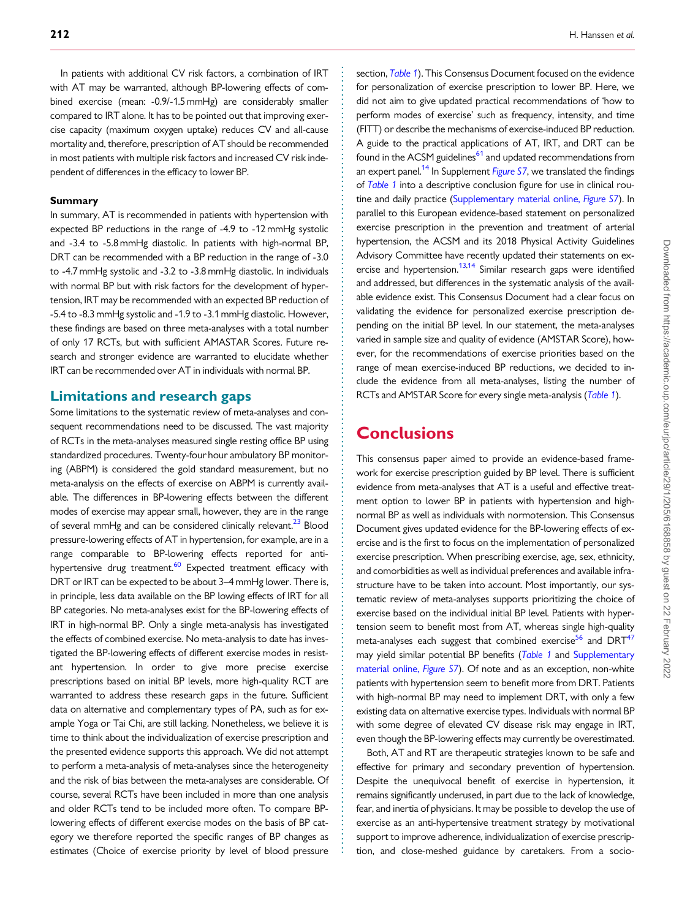<span id="page-7-0"></span>. In patients with additional CV risk factors, a combination of IRT with AT may be warranted, although BP-lowering effects of combined exercise (mean: -0.9/-1.5 mmHg) are considerably smaller compared to IRT alone. It has to be pointed out that improving exercise capacity (maximum oxygen uptake) reduces CV and all-cause mortality and, therefore, prescription of AT should be recommended in most patients with multiple risk factors and increased CV risk independent of differences in the efficacy to lower BP.

#### Summary

In summary, AT is recommended in patients with hypertension with expected BP reductions in the range of -4.9 to -12 mmHg systolic and -3.4 to -5.8 mmHg diastolic. In patients with high-normal BP, DRT can be recommended with a BP reduction in the range of -3.0 to -4.7 mmHg systolic and -3.2 to -3.8 mmHg diastolic. In individuals with normal BP but with risk factors for the development of hypertension, IRT may be recommended with an expected BP reduction of -5.4 to -8.3 mmHg systolic and -1.9 to -3.1 mmHg diastolic. However, these findings are based on three meta-analyses with a total number of only 17 RCTs, but with sufficient AMASTAR Scores. Future research and stronger evidence are warranted to elucidate whether IRT can be recommended over AT in individuals with normal BP.

#### Limitations and research gaps

Some limitations to the systematic review of meta-analyses and consequent recommendations need to be discussed. The vast majority of RCTs in the meta-analyses measured single resting office BP using standardized procedures. Twenty-four hour ambulatory BP monitoring (ABPM) is considered the gold standard measurement, but no meta-analysis on the effects of exercise on ABPM is currently available. The differences in BP-lowering effects between the different modes of exercise may appear small, however, they are in the range of several mmHg and can be considered clinically relevant.<sup>23</sup> Blood pressure-lowering effects of AT in hypertension, for example, are in a range comparable to BP-lowering effects reported for antihypertensive drug treatment.<sup>60</sup> Expected treatment efficacy with DRT or IRT can be expected to be about 3–4 mmHg lower. There is, in principle, less data available on the BP lowing effects of IRT for all BP categories. No meta-analyses exist for the BP-lowering effects of IRT in high-normal BP. Only a single meta-analysis has investigated the effects of combined exercise. No meta-analysis to date has investigated the BP-lowering effects of different exercise modes in resistant hypertension. In order to give more precise exercise prescriptions based on initial BP levels, more high-quality RCT are warranted to address these research gaps in the future. Sufficient data on alternative and complementary types of PA, such as for example Yoga or Tai Chi, are still lacking. Nonetheless, we believe it is time to think about the individualization of exercise prescription and the presented evidence supports this approach. We did not attempt to perform a meta-analysis of meta-analyses since the heterogeneity and the risk of bias between the meta-analyses are considerable. Of course, several RCTs have been included in more than one analysis and older RCTs tend to be included more often. To compare BPlowering effects of different exercise modes on the basis of BP category we therefore reported the specific ranges of BP changes as estimates (Choice of exercise priority by level of blood pressure

section, [Table 1](#page-6-0)). This Consensus Document focused on the evidence for personalization of exercise prescription to lower BP. Here, we did not aim to give updated practical recommendations of 'how to perform modes of exercise' such as frequency, intensity, and time (FITT) or describe the mechanisms of exercise-induced BP reduction. A guide to the practical applications of AT, IRT, and DRT can be found in the ACSM guidelines<sup>61</sup> and updated recommendations from an expert panel.<sup>[14](#page-8-0)</sup> In Supplement Figure  $57$ , we translated the findings of [Table 1](#page-6-0) into a descriptive conclusion figure for use in clinical routine and daily practice [\(Supplementary material online,](https://academic.oup.com/eurjpc/article-lookup/doi/10.1093/eurjpc/zwaa141#supplementary-data) Figure S7). In parallel to this European evidence-based statement on personalized exercise prescription in the prevention and treatment of arterial hypertension, the ACSM and its 2018 Physical Activity Guidelines Advisory Committee have recently updated their statements on exercise and hypertension.<sup>13,14</sup> Similar research gaps were identified and addressed, but differences in the systematic analysis of the available evidence exist. This Consensus Document had a clear focus on validating the evidence for personalized exercise prescription depending on the initial BP level. In our statement, the meta-analyses varied in sample size and quality of evidence (AMSTAR Score), however, for the recommendations of exercise priorities based on the range of mean exercise-induced BP reductions, we decided to include the evidence from all meta-analyses, listing the number of RCTs and AMSTAR Score for every single meta-analysis ([Table 1](#page-6-0)).

## **Conclusions**

. . . . . . . . . . . . . . . . . . . . . . . . . . . . . . . . . . . . . . . . . . . . . . . . . . . . . . . . . . . . . . . . . . . . . . . . . . . . . . . . . . . . . . . . . . . . . . . . . . . . . . . . . . . . . . . . . . . . . . . . . . . . . . . . . . . . . . . . . . . . . . . . . . . . . . . . . . . . . . . . . . . . . . . . . . . .

This consensus paper aimed to provide an evidence-based framework for exercise prescription guided by BP level. There is sufficient evidence from meta-analyses that AT is a useful and effective treatment option to lower BP in patients with hypertension and highnormal BP as well as individuals with normotension. This Consensus Document gives updated evidence for the BP-lowering effects of exercise and is the first to focus on the implementation of personalized exercise prescription. When prescribing exercise, age, sex, ethnicity, and comorbidities as well as individual preferences and available infrastructure have to be taken into account. Most importantly, our systematic review of meta-analyses supports prioritizing the choice of exercise based on the individual initial BP level. Patients with hypertension seem to benefit most from AT, whereas single high-quality meta-analyses each suggest that combined exercise<sup>[56](#page-9-0)</sup> and DRT<sup>47</sup> may yield similar potential BP benefits ([Table 1](#page-6-0) and [Supplementary](https://academic.oup.com/eurjpc/article-lookup/doi/10.1093/eurjpc/zwaa141#supplementary-data) [material online,](https://academic.oup.com/eurjpc/article-lookup/doi/10.1093/eurjpc/zwaa141#supplementary-data) Figure S7). Of note and as an exception, non-white patients with hypertension seem to benefit more from DRT. Patients with high-normal BP may need to implement DRT, with only a few existing data on alternative exercise types. Individuals with normal BP with some degree of elevated CV disease risk may engage in IRT, even though the BP-lowering effects may currently be overestimated.

Both, AT and RT are therapeutic strategies known to be safe and effective for primary and secondary prevention of hypertension. Despite the unequivocal benefit of exercise in hypertension, it remains significantly underused, in part due to the lack of knowledge, fear, and inertia of physicians. It may be possible to develop the use of exercise as an anti-hypertensive treatment strategy by motivational support to improve adherence, individualization of exercise prescription, and close-meshed guidance by caretakers. From a socio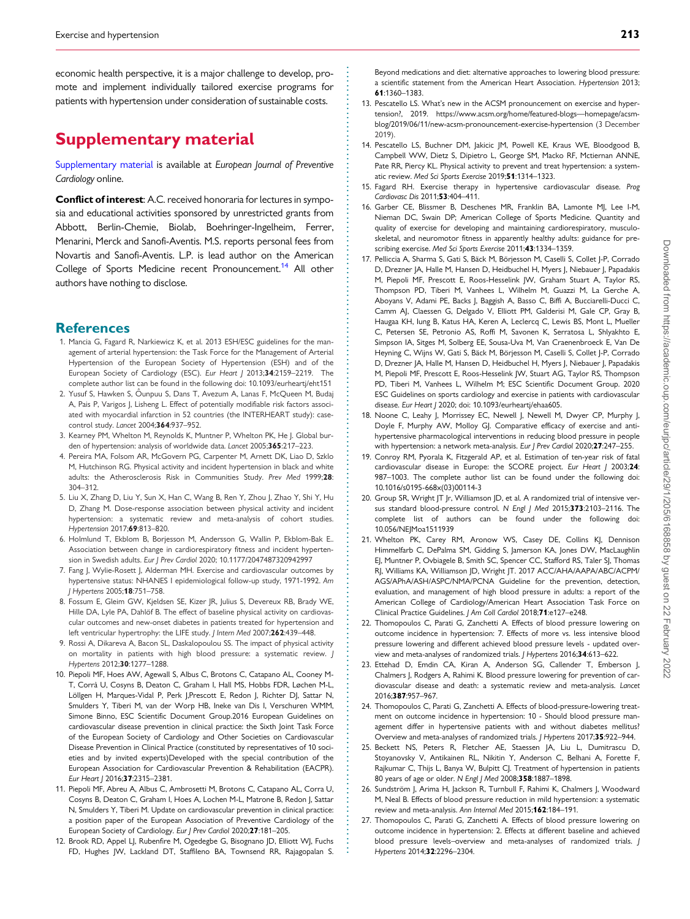<span id="page-8-0"></span>. economic health perspective, it is a major challenge to develop, promote and implement individually tailored exercise programs for patients with hypertension under consideration of sustainable costs.

# Supplementary material

[Supplementary material](https://academic.oup.com/eurjpc/article-lookup/doi/10.1093/eurjpc/zwaa141#supplementary-data) is available at European Journal of Preventive Cardiology online.

Conflict of interest: A.C. received honoraria for lectures in symposia and educational activities sponsored by unrestricted grants from Abbott, Berlin-Chemie, Biolab, Boehringer-Ingelheim, Ferrer, Menarini, Merck and Sanofi-Aventis. M.S. reports personal fees from Novartis and Sanofi-Aventis. L.P. is lead author on the American College of Sports Medicine recent Pronouncement.<sup>14</sup> All other authors have nothing to disclose.

#### **References**

- [1.](#page-1-0) Mancia G, Fagard R, Narkiewicz K, et al. 2013 ESH/ESC guidelines for the management of arterial hypertension: the Task Force for the Management of Arterial Hypertension of the European Society of Hypertension (ESH) and of the European Society of Cardiology (ESC). Eur Heart | 2013;34:2159-2219. The complete author list can be found in the following doi: 10.1093/eurheartj/eht151
- [2.](#page-1-0) Yusuf S, Hawken S, Ôunpuu S, Dans T, Avezum A, Lanas F, McQueen M, Budaj A, Pais P, Varigos J, Lisheng L. Effect of potentially modifiable risk factors associated with myocardial infarction in 52 countries (the INTERHEART study): casecontrol study. Lancet 2004;364:937–952.
- [3.](#page-1-0) Kearney PM, Whelton M, Reynolds K, Muntner P, Whelton PK, He J. Global burden of hypertension: analysis of worldwide data. Lancet 2005;365:217–223.
- [4.](#page-1-0) Pereira MA, Folsom AR, McGovern PG, Carpenter M, Arnett DK, Liao D, Szklo M, Hutchinson RG. Physical activity and incident hypertension in black and white adults: the Atherosclerosis Risk in Communities Study. Prev Med 1999;28: 304–312.
- [5.](#page-1-0) Liu X, Zhang D, Liu Y, Sun X, Han C, Wang B, Ren Y, Zhou J, Zhao Y, Shi Y, Hu D, Zhang M. Dose-response association between physical activity and incident hypertension: a systematic review and meta-analysis of cohort studies. Hypertension 2017;69:813–820.
- [6.](#page-1-0) Holmlund T, Ekblom B, Borjesson M, Andersson G, Wallin P, Ekblom-Bak E.. Association between change in cardiorespiratory fitness and incident hypertension in Swedish adults. Eur J Prev Cardiol 2020; 10.1177/2047487320942997
- [7.](#page-1-0) Fang J, Wylie-Rosett J, Alderman MH. Exercise and cardiovascular outcomes by hypertensive status: NHANES I epidemiological follow-up study, 1971-1992. Am J Hypertens 2005;18:751–758.
- [8.](#page-1-0) Fossum E, Gleim GW, Kjeldsen SE, Kizer JR, Julius S, Devereux RB, Brady WE, Hille DA, Lyle PA, Dahlöf B. The effect of baseline physical activity on cardiovascular outcomes and new-onset diabetes in patients treated for hypertension and left ventricular hypertrophy: the LIFE study. J Intern Med 2007;262:439-448.
- [9.](#page-1-0) Rossi A, Dikareva A, Bacon SL, Daskalopoulou SS. The impact of physical activity on mortality in patients with high blood pressure: a systematic review. J Hypertens 2012;30:1277–1288.
- [10.](#page-1-0) Piepoli MF, Hoes AW, Agewall S, Albus C, Brotons C, Catapano AL, Cooney M-T, Corra` U, Cosyns B, Deaton C, Graham I, Hall MS, Hobbs FDR, Løchen M-L, Löllgen H, Marques-Vidal P, Perk J,Prescott E, Redon J, Richter DJ, Sattar N, Smulders Y, Tiberi M, van der Worp HB, Ineke van Dis I, Verschuren WMM, Simone Binno, ESC Scientific Document Group.2016 European Guidelines on cardiovascular disease prevention in clinical practice: the Sixth Joint Task Force of the European Society of Cardiology and Other Societies on Cardiovascular Disease Prevention in Clinical Practice (constituted by representatives of 10 societies and by invited experts)Developed with the special contribution of the European Association for Cardiovascular Prevention & Rehabilitation (EACPR). Eur Heart | 2016;37:2315-2381.
- [11.](#page-1-0) Piepoli MF, Abreu A, Albus C, Ambrosetti M, Brotons C, Catapano AL, Corra U, Cosyns B, Deaton C, Graham I, Hoes A, Lochen M-L, Matrone B, Redon J, Sattar N, Smulders Y, Tiberi M. Update on cardiovascular prevention in clinical practice: a position paper of the European Association of Preventive Cardiology of the European Society of Cardiology. Eur J Prev Cardiol 2020;27:181–205.
- [12.](#page-1-0) Brook RD, Appel LJ, Rubenfire M, Ogedegbe G, Bisognano JD, Elliott WJ, Fuchs FD, Hughes JW, Lackland DT, Staffileno BA, Townsend RR, Rajagopalan S.

. . . . . . . . . . . . . . . . . . . . . . . . . . . . . . . . . . . . . . . . . . . . . . . . . . . . . . . . . . . . . . . . . . . . . . . . . . . . . . . . . . . . . . . . . . . . . . . . . . . . . . . . . . . . . . . . . . . . . . . . . . . . . . . . . . . . . . . . . . . . . . . . . . . . . . . . . . . . . . . . . . . . . . . . . . . .

Beyond medications and diet: alternative approaches to lowering blood pressure: a scientific statement from the American Heart Association. Hypertension 2013; 61:1360–1383.

- [13](#page-1-0). Pescatello LS. What's new in the ACSM pronouncement on exercise and hypertension?, 2019. [https://www.acsm.org/home/featured-blogs—homepage/acsm](https://www.acsm.org/home/featured-blogs&hx0026;mdash;homepage/acsm-blog/2019/06/11/new-acsm-pronouncement-exercise-hypertension)[blog/2019/06/11/new-acsm-pronouncement-exercise-hypertension](https://www.acsm.org/home/featured-blogs&hx0026;mdash;homepage/acsm-blog/2019/06/11/new-acsm-pronouncement-exercise-hypertension) (3 December 2019).
- [14](#page-1-0). Pescatello LS, Buchner DM, Jakicic JM, Powell KE, Kraus WE, Bloodgood B, Campbell WW, Dietz S, Dipietro L, George SM, Macko RF, Mctiernan ANNE, Pate RR, Piercy KL. Physical activity to prevent and treat hypertension: a systematic review. Med Sci Sports Exercise 2019;51:1314–1323.
- [15](#page-1-0). Fagard RH. Exercise therapy in hypertensive cardiovascular disease. Prog Cardiovasc Dis 2011;53:404–411.
- [16](#page-1-0). Garber CE, Blissmer B, Deschenes MR, Franklin BA, Lamonte MJ, Lee I-M, Nieman DC, Swain DP; American College of Sports Medicine. Quantity and quality of exercise for developing and maintaining cardiorespiratory, musculoskeletal, and neuromotor fitness in apparently healthy adults: guidance for prescribing exercise. Med Sci Sports Exercise 2011;43:1334–1359.
- [17](#page-1-0). Pelliccia A, Sharma S, Gati S, Bäck M, Börjesson M, Caselli S, Collet J-P, Corrado D, Drezner JA, Halle M, Hansen D, Heidbuchel H, Myers J, Niebauer J, Papadakis M, Piepoli MF, Prescott E, Roos-Hesselink JW, Graham Stuart A, Taylor RS, Thompson PD, Tiberi M, Vanhees L, Wilhelm M, Guazzi M, La Gerche A, Aboyans V, Adami PE, Backs J, Baggish A, Basso C, Biffi A, Bucciarelli-Ducci C, Camm AJ, Claessen G, Delgado V, Elliott PM, Galderisi M, Gale CP, Gray B, Haugaa KH, Iung B, Katus HA, Keren A, Leclercq C, Lewis BS, Mont L, Mueller C, Petersen SE, Petronio AS, Roffi M, Savonen K, Serratosa L, Shlyakhto E, Simpson IA, Sitges M, Solberg EE, Sousa-Uva M, Van Craenenbroeck E, Van De Heyning C, Wijns W, Gati S, Bäck M, Börjesson M, Caselli S, Collet J-P, Corrado D, Drezner JA, Halle M, Hansen D, Heidbuchel H, Myers J, Niebauer J, Papadakis M, Piepoli MF, Prescott E, Roos-Hesselink JW, Stuart AG, Taylor RS, Thompson PD, Tiberi M, Vanhees L, Wilhelm M; ESC Scientific Document Group. 2020 ESC Guidelines on sports cardiology and exercise in patients with cardiovascular disease. Eur Heart J 2020; doi: 10.1093/eurhearti/ehaa605.
- [18](#page-1-0). Noone C, Leahy J, Morrissey EC, Newell J, Newell M, Dwyer CP, Murphy J, Doyle F, Murphy AW, Molloy GJ. Comparative efficacy of exercise and antihypertensive pharmacological interventions in reducing blood pressure in people with hypertension: a network meta-analysis. Eur J Prev Cardiol 2020;27:247-255.
- [19](#page-1-0). Conroy RM, Pyorala K, Fitzgerald AP, et al. Estimation of ten-year risk of fatal cardiovascular disease in Europe: the SCORE project. Eur Heart | 2003;24: 987–1003. The complete author list can be found under the following doi: 10.1016/s0195-668x(03)00114-3
- [20](#page-1-0). Group SR, Wright JT Jr, Williamson JD, et al. A randomized trial of intensive versus standard blood-pressure control. N Engl | Med 2015;373:2103-2116. The complete list of authors can be found under the following doi: 10.056/NEJMoa1511939
- [21](#page-1-0). Whelton PK, Carey RM, Aronow WS, Casey DE, Collins KJ, Dennison Himmelfarb C, DePalma SM, Gidding S, Jamerson KA, Jones DW, MacLaughlin EJ, Muntner P, Ovbiagele B, Smith SC, Spencer CC, Stafford RS, Taler SJ, Thomas RJ, Williams KA, Williamson JD, Wright JT. 2017 ACC/AHA/AAPA/ABC/ACPM/ AGS/APhA/ASH/ASPC/NMA/PCNA Guideline for the prevention, detection, evaluation, and management of high blood pressure in adults: a report of the American College of Cardiology/American Heart Association Task Force on Clinical Practice Guidelines. J Am Coll Cardiol 2018;71:e127–e248.
- [22](#page-1-0). Thomopoulos C, Parati G, Zanchetti A. Effects of blood pressure lowering on outcome incidence in hypertension: 7. Effects of more vs. less intensive blood pressure lowering and different achieved blood pressure levels - updated overview and meta-analyses of randomized trials. J Hypertens 2016;34:613-622.
- [23](#page-1-0). Ettehad D, Emdin CA, Kiran A, Anderson SG, Callender T, Emberson J, Chalmers J, Rodgers A, Rahimi K. Blood pressure lowering for prevention of cardiovascular disease and death: a systematic review and meta-analysis. Lancet 2016;387:957–967.
- [24](#page-2-0). Thomopoulos C, Parati G, Zanchetti A. Effects of blood-pressure-lowering treatment on outcome incidence in hypertension: 10 - Should blood pressure management differ in hypertensive patients with and without diabetes mellitus? Overview and meta-analyses of randomized trials. J Hypertens 2017;35:922–944.
- [25](#page-2-0). Beckett NS, Peters R, Fletcher AE, Staessen JA, Liu L, Dumitrascu D, Stoyanovsky V, Antikainen RL, Nikitin Y, Anderson C, Belhani A, Forette F, Rajkumar C, Thijs L, Banya W, Bulpitt CJ. Treatment of hypertension in patients 80 years of age or older. N Engl J Med 2008;358:1887–1898.
- [26](#page-2-0). Sundström J, Arima H, Jackson R, Turnbull F, Rahimi K, Chalmers J, Woodward M, Neal B. Effects of blood pressure reduction in mild hypertension: a systematic review and meta-analysis. Ann Internal Med 2015;162:184–191.
- [27](#page-2-0). Thomopoulos C, Parati G, Zanchetti A. Effects of blood pressure lowering on outcome incidence in hypertension: 2. Effects at different baseline and achieved blood pressure levels–overview and meta-analyses of randomized trials. J Hypertens 2014;32:2296–2304.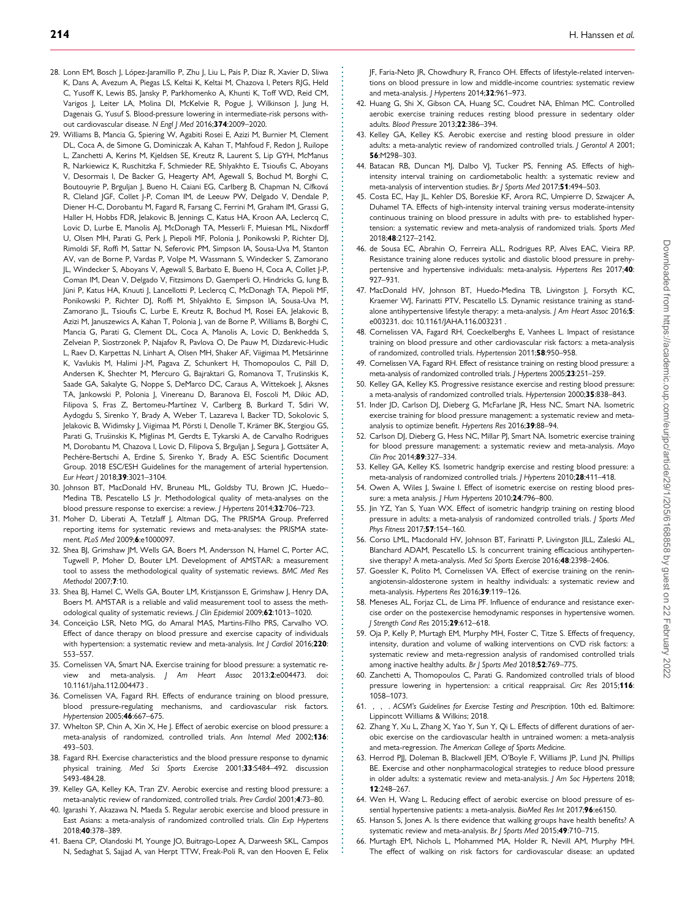- <span id="page-9-0"></span>[28](#page-2-0). Lonn EM, Bosch J, López-Jaramillo P, Zhu J, Liu L, Pais P, Diaz R, Xavier D, Sliwa K, Dans A, Avezum A, Piegas LS, Keltai K, Keltai M, Chazova I, Peters RJG, Held C, Yusoff K, Lewis BS, Jansky P, Parkhomenko A, Khunti K, Toff WD, Reid CM, Varigos J, Leiter LA, Molina DI, McKelvie R, Pogue J, Wilkinson J, Jung H, Dagenais G, Yusuf S. Blood-pressure lowering in intermediate-risk persons without cardiovascular disease. N Engl J Med 2016;374:2009–2020.
- [29](#page-2-0). Williams B, Mancia G, Spiering W, Agabiti Rosei E, Azizi M, Burnier M, Clement DL, Coca A, de Simone G, Dominiczak A, Kahan T, Mahfoud F, Redon J, Ruilope L, Zanchetti A, Kerins M, Kjeldsen SE, Kreutz R, Laurent S, Lip GYH, McManus R, Narkiewicz K, Ruschitzka F, Schmieder RE, Shlyakhto E, Tsioufis C, Aboyans V, Desormais I, De Backer G, Heagerty AM, Agewall S, Bochud M, Borghi C, Boutouyrie P, Brguljan J, Bueno H, Caiani EG, Carlberg B, Chapman N, Cífková R, Cleland JGF, Collet J-P, Coman IM, de Leeuw PW, Delgado V, Dendale P, Diener H-C, Dorobantu M, Fagard R, Farsang C, Ferrini M, Graham IM, Grassi G, Haller H, Hobbs FDR, Jelakovic B, Jennings C, Katus HA, Kroon AA, Leclercq C, Lovic D, Lurbe E, Manolis AJ, McDonagh TA, Messerli F, Muiesan ML, Nixdorff U, Olsen MH, Parati G, Perk J, Piepoli MF, Polonia J, Ponikowski P, Richter DJ, Rimoldi SF, Roffi M, Sattar N, Seferovic PM, Simpson IA, Sousa-Uva M, Stanton AV, van de Borne P, Vardas P, Volpe M, Wassmann S, Windecker S, Zamorano JL, Windecker S, Aboyans V, Agewall S, Barbato E, Bueno H, Coca A, Collet J-P, Coman IM, Dean V, Delgado V, Fitzsimons D, Gaemperli O, Hindricks G, Iung B, Jüni P, Katus HA, Knuuti J, Lancellotti P, Leclercq C, McDonagh TA, Piepoli MF, Ponikowski P, Richter DJ, Roffi M, Shlyakhto E, Simpson IA, Sousa-Uva M, Zamorano JL, Tsioufis C, Lurbe E, Kreutz R, Bochud M, Rosei EA, Jelakovic B, Azizi M, Januszewics A, Kahan T, Polonia J, van de Borne P, Williams B, Borghi C, Mancia G, Parati G, Clement DL, Coca A, Manolis A, Lovic D, Benkhedda S, Zelveian P, Siostrzonek P, Najafov R, Pavlova O, De Pauw M, Dizdarevic-Hudic L, Raev D, Karpettas N, Linhart A, Olsen MH, Shaker AF, Viigimaa M, Metsärinne K, Vavlukis M, Halimi J-M, Pagava Z, Schunkert H, Thomopoulos C, Páll D, Andersen K, Shechter M, Mercuro G, Bajraktari G, Romanova T, Trušinskis K, Saade GA, Sakalyte G, Noppe S, DeMarco DC, Caraus A, Wittekoek J, Aksnes TA, Jankowski P, Polonia J, Vinereanu D, Baranova EI, Foscoli M, Dikic AD, Filipova S, Fras Z, Bertomeu-Martínez V, Carlberg B, Burkard T, Sdiri W, Aydogdu S, Sirenko Y, Brady A, Weber T, Lazareva I, Backer TD, Sokolovic S, Jelakovic B, Widimsky J, Viigimaa M, Pörsti I, Denolle T, Krämer BK, Stergiou GS, Parati G, Trušinskis K, Miglinas M, Gerdts E, Tykarski A, de Carvalho Rodrigues M, Dorobantu M, Chazova I, Lovic D, Filipova S, Brguljan J, Segura J, Gottsäter A, Pechère-Bertschi A, Erdine S, Sirenko Y, Brady A, ESC Scientific Document Group. 2018 ESC/ESH Guidelines for the management of arterial hypertension. Eur Heart | 2018;39:3021-3104.
- [30](#page-2-0). Johnson BT, MacDonald HV, Bruneau ML, Goldsby TU, Brown JC, Huedo– Medina TB, Pescatello LS Jr. Methodological quality of meta-analyses on the blood pressure response to exercise: a review. *J Hypertens* 2014;32:706-723.
- [31](#page-2-0). Moher D, Liberati A, Tetzlaff J, Altman DG, The PRISMA Group. Preferred reporting items for systematic reviews and meta-analyses: the PRISMA statement. PLoS Med 2009;6:e1000097.
- [32](#page-2-0). Shea BJ, Grimshaw JM, Wells GA, Boers M, Andersson N, Hamel C, Porter AC, Tugwell P, Moher D, Bouter LM. Development of AMSTAR: a measurement tool to assess the methodological quality of systematic reviews. BMC Med Res Methodol 2007;7:10.
- [33](#page-2-0). Shea BJ, Hamel C, Wells GA, Bouter LM, Kristjansson E, Grimshaw J, Henry DA, Boers M. AMSTAR is a reliable and valid measurement tool to assess the methodological quality of systematic reviews. J Clin Epidemiol 2009;62:1013-1020.
- [34](#page-3-0). Conceição LSR, Neto MG, do Amaral MAS, Martins-Filho PRS, Carvalho VO. Effect of dance therapy on blood pressure and exercise capacity of individuals with hypertension: a systematic review and meta-analysis. Int I Cardiol 2016:220: 553–557.
- [35](#page-3-0). Cornelissen VA, Smart NA. Exercise training for blood pressure: a systematic review and meta-analysis. J Am Heart Assoc 2013;2:e004473. doi: 10.1161/jaha.112.004473 .
- [36](#page-3-0). Cornelissen VA, Fagard RH. Effects of endurance training on blood pressure, blood pressure-regulating mechanisms, and cardiovascular risk factors. Hypertension 2005;46:667–675.
- [37](#page-3-0). Whelton SP, Chin A, Xin X, He J. Effect of aerobic exercise on blood pressure: a meta-analysis of randomized, controlled trials. Ann Internal Med 2002;136: 493–503.
- [38](#page-4-0). Fagard RH. Exercise characteristics and the blood pressure response to dynamic physical training. Med Sci Sports Exercise 2001;33:S484-492. discussion S493-484.28.
- 39. Kelley GA, Kelley KA, Tran ZV. Aerobic exercise and resting blood pressure: a meta-analytic review of randomized, controlled trials. Prev Cardiol 2001;4:73–80.
- [40](#page-4-0). Igarashi Y, Akazawa N, Maeda S. Regular aerobic exercise and blood pressure in East Asians: a meta-analysis of randomized controlled trials. Clin Exp Hypertens 2018;40:378–389.
- [41](#page-3-0). Baena CP, Olandoski M, Younge JO, Buitrago-Lopez A, Darweesh SKL, Campos N, Sedaghat S, Sajjad A, van Herpt TTW, Freak-Poli R, van den Hooven E, Felix

JF, Faria-Neto JR, Chowdhury R, Franco OH. Effects of lifestyle-related interventions on blood pressure in low and middle-income countries: systematic review and meta-analysis. | Hypertens 2014;32:961-973.

- [42.](#page-4-0) Huang G, Shi X, Gibson CA, Huang SC, Coudret NA, Ehlman MC. Controlled aerobic exercise training reduces resting blood pressure in sedentary older adults. Blood Pressure 2013;22:386–394.
- [43.](#page-4-0) Kelley GA, Kelley KS. Aerobic exercise and resting blood pressure in older adults: a meta-analytic review of randomized controlled trials. J Gerontol A 2001; 56:M298–303.
- [44.](#page-4-0) Batacan RB, Duncan MJ, Dalbo VJ, Tucker PS, Fenning AS. Effects of highintensity interval training on cardiometabolic health: a systematic review and meta-analysis of intervention studies. Br J Sports Med 2017;51:494-503.
- [45.](#page-4-0) Costa EC, Hay |L, Kehler DS, Boreskie KF, Arora RC, Umpierre D, Szwajcer A, Duhamel TA. Effects of high-intensity interval training versus moderate-intensity continuous training on blood pressure in adults with pre- to established hypertension: a systematic review and meta-analysis of randomized trials. Sports Med 2018;48:2127–2142.
- 46. de Sousa EC, Abrahin O, Ferreira ALL, Rodrigues RP, Alves EAC, Vieira RP. Resistance training alone reduces systolic and diastolic blood pressure in prehypertensive and hypertensive individuals: meta-analysis. Hypertens Res 2017;40: 927–931.
- [47.](#page-4-0) MacDonald HV, Johnson BT, Huedo-Medina TB, Livingston J, Forsyth KC, Kraemer WJ, Farinatti PTV, Pescatello LS. Dynamic resistance training as standalone antihypertensive lifestyle therapy: a meta-analysis. J Am Heart Assoc 2016;5: e003231. doi: 10.1161/JAHA.116.003231 .
- [48.](#page-4-0) Cornelissen VA, Fagard RH, Coeckelberghs E, Vanhees L. Impact of resistance training on blood pressure and other cardiovascular risk factors: a meta-analysis of randomized, controlled trials. Hypertension 2011;58:950–958.
- 49. Cornelissen VA, Fagard RH. Effect of resistance training on resting blood pressure: a meta-analysis of randomized controlled trials. *| Hypertens* 2005;23:251-259.
- 50. Kelley GA, Kelley KS. Progressive resistance exercise and resting blood pressure: a meta-analysis of randomized controlled trials. Hypertension 2000;35:838–843.
- [51.](#page-4-0) Inder JD, Carlson DJ, Dieberg G, McFarlane JR, Hess NC, Smart NA. Isometric exercise training for blood pressure management: a systematic review and metaanalysis to optimize benefit. Hypertens Res 2016;39:88–94.
- [52.](#page-4-0) Carlson DJ, Dieberg G, Hess NC, Millar PJ, Smart NA. Isometric exercise training for blood pressure management: a systematic review and meta-analysis. Mayo Clin Proc 2014;89:327–334.
- 53. Kelley GA, Kelley KS. Isometric handgrip exercise and resting blood pressure: a meta-analysis of randomized controlled trials. J Hypertens 2010;28:411–418.
- 54. Owen A, Wiles J, Swaine J, Effect of isometric exercise on resting blood pressure: a meta analysis. J Hum Hypertens 2010;24:796-800.
- [55.](#page-4-0) Jin YZ, Yan S, Yuan WX. Effect of isometric handgrip training on resting blood pressure in adults: a meta-analysis of randomized controlled trials. J Sports Med Phys Fitness 2017;57:154-160.
- [56.](#page-4-0) Corso LML, Macdonald HV, Johnson BT, Farinatti P, Livingston JILL, Zaleski AL, Blanchard ADAM, Pescatello LS. Is concurrent training efficacious antihypertensive therapy? A meta-analysis. Med Sci Sports Exercise 2016;48:2398–2406.
- [57.](#page-4-0) Goessler K, Polito M, Cornelissen VA. Effect of exercise training on the reninangiotensin-aldosterone system in healthy individuals: a systematic review and meta-analysis. Hypertens Res 2016;39:119–126.
- [58.](#page-5-0) Meneses AL, Forjaz CL, de Lima PF. Influence of endurance and resistance exercise order on the postexercise hemodynamic responses in hypertensive women. J Strength Cond Res 2015;29:612–618.
- [59.](#page-5-0) Oja P, Kelly P, Murtagh EM, Murphy MH, Foster C, Titze S. Effects of frequency, intensity, duration and volume of walking interventions on CVD risk factors: a systematic review and meta-regression analysis of randomised controlled trials among inactive healthy adults. Br J Sports Med 2018;52:769-775.
- [60.](#page-3-0) Zanchetti A, Thomopoulos C, Parati G. Randomized controlled trials of blood pressure lowering in hypertension: a critical reappraisal. Circ Res 2015;116: 1058–1073.
- [61.](#page-7-0) , , . ACSM's Guidelines for Exercise Testing and Prescription. 10th ed. Baltimore: Lippincott Williams & Wilkins; 2018.
- 62. Zhang Y, Xu L, Zhang X, Yao Y, Sun Y, Qi L. Effects of different durations of aerobic exercise on the cardiovascular health in untrained women: a meta-analysis and meta-regression. The American College of Sports Medicine.
- 63. Herrod PJJ, Doleman B, Blackwell JEM, O'Boyle F, Williams JP, Lund JN, Phillips BE. Exercise and other nonpharmacological strategies to reduce blood pressure in older adults: a systematic review and meta-analysis. J Am Soc Hypertens 2018; 12:248–267.
- [64.](#page-4-0) Wen H, Wang L. Reducing effect of aerobic exercise on blood pressure of essential hypertensive patients: a meta-analysis. BioMed Res Int 2017;96:e6150.
- 65. Hanson S, Jones A. Is there evidence that walking groups have health benefits? A systematic review and meta-analysis. Br J Sports Med 2015;49:710–715.
- 66. Murtagh EM, Nichols L, Mohammed MA, Holder R, Nevill AM, Murphy MH. The effect of walking on risk factors for cardiovascular disease: an updated

. . . . . . . . . . . . . . . . . . . . . . . . . . . . . . . . . . . . . . . . . . . . . . . . . . . . . . . . . . . . . . . . . . . . . . . . . . . . . . . . . . . . . . . . . . . . . . . . . . . . . . . . . . . . . . . . . . . . . . . . . . . . . . . . . . . . . . . . . . . . . . . . . . . . . . . . . . . . . . . . . . . . . . . . . . . .